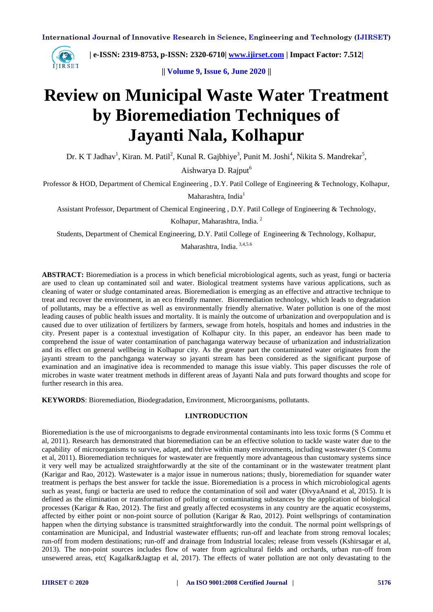

 **| e-ISSN: 2319-8753, p-ISSN: 2320-6710| [www.ijirset.com](http://www.ijirset.com/) | Impact Factor: 7.512|**

**|| Volume 9, Issue 6, June 2020 ||** 

# **Review on Municipal Waste Water Treatment by Bioremediation Techniques of Jayanti Nala, Kolhapur**

Dr. K T Jadhav<sup>1</sup>, Kiran. M. Patil<sup>2</sup>, Kunal R. Gajbhiye<sup>3</sup>, Punit M. Joshi<sup>4</sup>, Nikita S. Mandrekar<sup>5</sup>,

Aishwarya D. Rajput<sup>6</sup>

Professor & HOD, Department of Chemical Engineering , D.Y. Patil College of Engineering & Technology, Kolhapur,

Maharashtra, India<sup>1</sup>

Assistant Professor, Department of Chemical Engineering , D.Y. Patil College of Engineering & Technology,

Kolhapur, Maharashtra, India. <sup>2</sup>

Students, Department of Chemical Engineering, D.Y. Patil College of Engineering & Technology, Kolhapur,

Maharashtra, India. 3,4,5.6

**ABSTRACT:** Bioremediation is a process in which beneficial microbiological agents, such as yeast, fungi or bacteria are used to clean up contaminated soil and water. Biological treatment systems have various applications, such as cleaning of water or sludge contaminated areas. Bioremediation is emerging as an effective and attractive technique to treat and recover the environment, in an eco friendly manner. Bioremediation technology, which leads to degradation of pollutants, may be a effective as well as environmentally friendly alternative. Water pollution is one of the most leading causes of public health issues and mortality. It is mainly the outcome of urbanization and overpopulation and is caused due to over utilization of fertilizers by farmers, sewage from hotels, hospitals and homes and industries in the city. Present paper is a contextual investigation of Kolhapur city. In this paper, an endeavor has been made to comprehend the issue of water contamination of panchaganga waterway because of urbanization and industrialization and its effect on general wellbeing in Kolhapur city. As the greater part the contaminated water originates from the jayanti stream to the panchganga waterway so jayanti stream has been considered as the significant purpose of examination and an imaginative idea is recommended to manage this issue viably. This paper discusses the role of microbes in waste water treatment methods in different areas of Jayanti Nala and puts forward thoughts and scope for further research in this area.

**KEYWORDS**: Bioremediation, Biodegradation, Environment, Microorganisms, pollutants.

#### **I.INTRODUCTION**

Bioremediation is the use of microorganisms to degrade environmental contaminants into less toxic forms (S Commu et al, 2011). Research has demonstrated that bioremediation can be an effective solution to tackle waste water due to the capability of microorganisms to survive, adapt, and thrive within many environments, including wastewater (S Commu et al, 2011). Bioremediation techniques for wastewater are frequently more advantageous than customary systems since it very well may be actualized straightforwardly at the site of the contaminant or in the wastewater treatment plant (Karigar and Rao, 2012). Wastewater is a major issue in numerous nations; thusly, bioremediation for squander water treatment is perhaps the best answer for tackle the issue. Bioremediation is a process in which microbiological agents such as yeast, fungi or bacteria are used to reduce the contamination of soil and water (DivyaAnand et al, 2015). It is defined as the elimination or transformation of polluting or contaminating substances by the application of biological processes (Karigar & Rao, 2012). The first and greatly affected ecosystems in any country are the aquatic ecosystems, affected by either point or non-point source of pollution (Karigar & Rao, 2012). Point wellsprings of contamination happen when the dirtying substance is transmitted straightforwardly into the conduit. The normal point wellsprings of contamination are Municipal, and Industrial wastewater effluents; run-off and leachate from strong removal locales; run-off from modern destinations; run-off and drainage from Industrial locales; release from vessels (Kshirsagar et al, 2013). The non-point sources includes flow of water from agricultural fields and orchards, urban run-off from unsewered areas, etc( Kagalkar&Jagtap et al, 2017). The effects of water pollution are not only devastating to the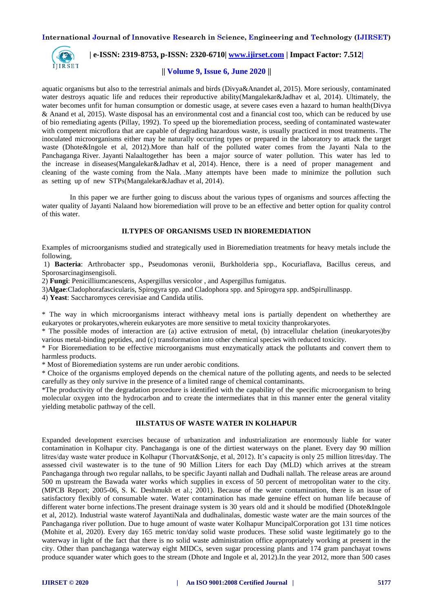

#### **| e-ISSN: 2319-8753, p-ISSN: 2320-6710| [www.ijirset.com](http://www.ijirset.com/) | Impact Factor: 7.512|**

#### **|| Volume 9, Issue 6, June 2020 ||**

aquatic organisms but also to the terrestrial animals and birds (Divya&Anandet al, 2015). More seriously, contaminated water destroys aquatic life and reduces their reproductive ability(Mangalekar&Jadhav et al, 2014). Ultimately, the water becomes unfit for human consumption or domestic usage, at severe cases even a hazard to human health(Divya & Anand et al, 2015). Waste disposal has an environmental cost and a financial cost too, which can be reduced by use of bio remediating agents (Pillay, 1992). To speed up the bioremediation process, seeding of contaminated wastewater with competent microflora that are capable of degrading hazardous waste, is usually practiced in most treatments. The inoculated microorganisms either may be naturally occurring types or prepared in the laboratory to attack the target waste (Dhote&Ingole et al, 2012).More than half of the polluted water comes from the Jayanti Nala to the Panchaganga River. Jayanti Nalaaltogether has been a major source of water pollution. This water has led to the increase in diseases(Mangalekar&Jadhav et al, 2014). Hence, there is a need of proper management and cleaning of the waste coming from the Nala. .Many attempts have been made to minimize the pollution such as setting up of new STPs(Mangalekar&Jadhav et al, 2014).

In this paper we are further going to discuss about the various types of organisms and sources affecting the water quality of Jayanti Nalaand how bioremediation will prove to be an effective and better option for quality control of this water.

#### **II.TYPES OF ORGANISMS USED IN BIOREMEDIATION**

Examples of microorganisms studied and strategically used in Bioremediation treatments for heavy metals include the following,

1) **Bacteria**: Arthrobacter spp., Pseudomonas veronii, Burkholderia spp., Kocuriaflava, Bacillus cereus, and Sporosarcinaginsengisoli.

2) **Fungi**: Penicilliumcanescens, Aspergillus versicolor , and Aspergillus fumigatus.

3)**Algae**:Cladophorafascicularis, Spirogyra spp. and Cladophora spp. and Spirogyra spp. andSpirullinaspp.

4) **Yeast**: Saccharomyces cerevisiae and Candida utilis.

\* The way in which microorganisms interact withheavy metal ions is partially dependent on whetherthey are eukaryotes or prokaryotes,wherein eukaryotes are more sensitive to metal toxicity thanprokaryotes.

\* The possible modes of interaction are (a) active extrusion of metal, (b) intracellular chelation (ineukaryotes)by various metal-binding peptides, and (c) transformation into other chemical species with reduced toxicity.

\* For Bioremediation to be effective microorganisms must enzymatically attack the pollutants and convert them to harmless products.

\* Most of Bioremediation systems are run under aerobic conditions.

\* Choice of the organisms employed depends on the chemical nature of the polluting agents, and needs to be selected carefully as they only survive in the presence of a limited range of chemical contaminants.

\*The productivity of the degradation procedure is identified with the capability of the specific microorganism to bring molecular oxygen into the hydrocarbon and to create the intermediates that in this manner enter the general vitality yielding metabolic pathway of the cell.

#### **III.STATUS OF WASTE WATER IN KOLHAPUR**

Expanded development exercises because of urbanization and industrialization are enormously liable for water contamination in Kolhapur city. Panchaganga is one of the dirtiest waterways on the planet. Every day 90 million litres/day waste water produce in Kolhapur (Thorvat&Sonje, et al, 2012). It's capacity is only 25 million litres/day. The assessed civil wastewater is to the tune of 90 Million Liters for each Day (MLD) which arrives at the stream Panchaganga through two regular nallahs, to be specific Jayanti nallah and Dudhali nallah. The release areas are around 500 m upstream the Bawada water works which supplies in excess of 50 percent of metropolitan water to the city. (MPCB Report; 2005-06, S. K. Deshmukh et al.; 2001). Because of the water contamination, there is an issue of satisfactory flexibly of consumable water. Water contamination has made genuine effect on human life because of different water borne infections.The present drainage system is 30 years old and it should be modified (Dhote&Ingole et al, 2012). Industrial waste waterof JayantiNala and dudhalinalas, domestic waste water are the main sources of the Panchaganga river pollution. Due to huge amount of waste water Kolhapur MuncipalCorporation got 131 time notices (Mohite et al, 2020). Every day 165 metric ton/day solid waste produces. These solid waste legitimately go to the waterway in light of the fact that there is no solid waste administration office appropriately working at present in the city. Other than panchaganga waterway eight MIDCs, seven sugar processing plants and 174 gram panchayat towns produce squander water which goes to the stream (Dhote and Ingole et al, 2012).In the year 2012, more than 500 cases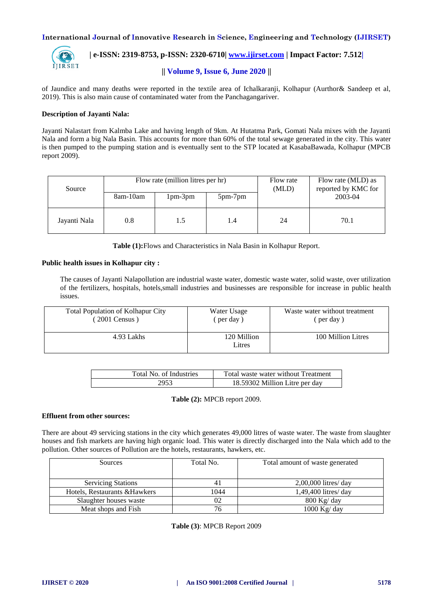

### **| e-ISSN: 2319-8753, p-ISSN: 2320-6710| [www.ijirset.com](http://www.ijirset.com/) | Impact Factor: 7.512| || Volume 9, Issue 6, June 2020 ||**

of Jaundice and many deaths were reported in the textile area of Ichalkaranji, Kolhapur (Aurthor& Sandeep et al, 2019). This is also main cause of contaminated water from the Panchagangariver.

#### **Description of Jayanti Nala:**

Jayanti Nalastart from Kalmba Lake and having length of 9km. At Hutatma Park, Gomati Nala mixes with the Jayanti Nala and form a big Nala Basin. This accounts for more than 60% of the total sewage generated in the city. This water is then pumped to the pumping station and is eventually sent to the STP located at KasabaBawada, Kolhapur (MPCB report 2009).

| Source       |          | Flow rate (million litres per hr) |           | Flow rate (MLD) as<br>Flow rate<br>reported by KMC for<br>(MLD)<br>2003-04 |      |  |  |
|--------------|----------|-----------------------------------|-----------|----------------------------------------------------------------------------|------|--|--|
|              | 8am-10am | $1pm-3pm$                         | $5pm-7pm$ |                                                                            |      |  |  |
| Jayanti Nala | 0.8      | 1.5                               | 1.4       | 24                                                                         | 70.1 |  |  |

**Table (1):**Flows and Characteristics in Nala Basin in Kolhapur Report.

#### **Public health issues in Kolhapur city :**

The causes of Jayanti Nalapollution are industrial waste water, domestic waste water, solid waste, over utilization of the fertilizers, hospitals, hotels,small industries and businesses are responsible for increase in public health issues.

| <b>Total Population of Kolhapur City</b> | Water Usage           | Waste water without treatment |
|------------------------------------------|-----------------------|-------------------------------|
| $2001$ Census)                           | per day)              | (per day)                     |
| 4.93 Lakhs                               | 120 Million<br>Litres | 100 Million Litres            |

| Total No. of Industries | Total waste water without Treatment |
|-------------------------|-------------------------------------|
|                         | 18.59302 Million Litre per day      |

#### **Table (2):** MPCB report 2009.

#### **Effluent from other sources:**

There are about 49 servicing stations in the city which generates 49,000 litres of waste water. The waste from slaughter houses and fish markets are having high organic load. This water is directly discharged into the Nala which add to the pollution. Other sources of Pollution are the hotels, restaurants, hawkers, etc.

| Sources                       | Total No. | Total amount of waste generated |
|-------------------------------|-----------|---------------------------------|
|                               |           |                                 |
| <b>Servicing Stations</b>     |           | $2,00,000$ litres/day           |
| Hotels, Restaurants & Hawkers | 1044      | 1,49,400 litres/ day            |
| Slaughter houses waste        | 02        | $800$ Kg/day                    |
| Meat shops and Fish           | 76        | $1000$ Kg/ day                  |

**Table (3)**: MPCB Report 2009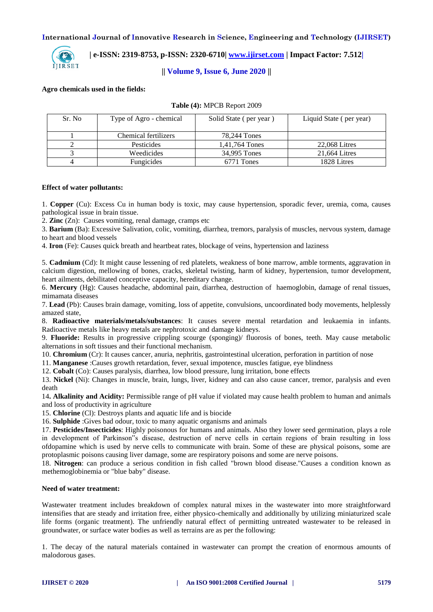

#### **| e-ISSN: 2319-8753, p-ISSN: 2320-6710| [www.ijirset.com](http://www.ijirset.com/) | Impact Factor: 7.512|**

#### **|| Volume 9, Issue 6, June 2020 ||**

#### **Agro chemicals used in the fields:**

| Sr. No | Type of Agro - chemical | Solid State (per year) | Liquid State (per year) |
|--------|-------------------------|------------------------|-------------------------|
|        | Chemical fertilizers    | 78,244 Tones           |                         |
|        | <b>Pesticides</b>       | 1,41,764 Tones         | 22,068 Litres           |
|        | Weedicides              | 34,995 Tones           | 21,664 Litres           |
|        | Fungicides              | 6771 Tones             | 1828 Litres             |

#### **Table (4):** MPCB Report 2009

#### **Effect of water pollutants:**

1. **Copper** (Cu): Excess Cu in human body is toxic, may cause hypertension, sporadic fever, uremia, coma, causes pathological issue in brain tissue.

2. **Zinc** (Zn): Causes vomiting, renal damage, cramps etc

3. **Barium** (Ba): Excessive Salivation, colic, vomiting, diarrhea, tremors, paralysis of muscles, nervous system, damage to heart and blood vessels

4. **Iron** (Fe): Causes quick breath and heartbeat rates, blockage of veins, hypertension and laziness

5. **Cadmium** (Cd): It might cause lessening of red platelets, weakness of bone marrow, amble torments, aggravation in calcium digestion, mellowing of bones, cracks, skeletal twisting, harm of kidney, hypertension, tumor development, heart ailments, debilitated conceptive capacity, hereditary change.

6. **Mercury** (Hg): Causes headache, abdominal pain, diarrhea, destruction of haemoglobin, damage of renal tissues, mimamata diseases

7. **Lead** (Pb): Causes brain damage, vomiting, loss of appetite, convulsions, uncoordinated body movements, helplessly amazed state,

8. **Radioactive materials/metals/substances**: It causes severe mental retardation and leukaemia in infants. Radioactive metals like heavy metals are nephrotoxic and damage kidneys.

9. **Fluoride:** Results in progressive crippling scourge (sponging)/ fluorosis of bones, teeth. May cause metabolic alternations in soft tissues and their functional mechanism.

10. **Chromium** (Cr): It causes cancer, anuria, nephritis, gastrointestinal ulceration, perforation in partition of nose

11. **Manganese** :Causes growth retardation, fever, sexual impotence, muscles fatigue, eye blindness

12. **Cobalt** (Co): Causes paralysis, diarrhea, low blood pressure, lung irritation, bone effects

13. **Nickel** (Ni): Changes in muscle, brain, lungs, liver, kidney and can also cause cancer, tremor, paralysis and even death

14**. Alkalinity and Acidity:** Permissible range of pH value if violated may cause health problem to human and animals and loss of productivity in agriculture

15. **Chlorine** (Cl): Destroys plants and aquatic life and is biocide

16. **Sulphide** :Gives bad odour, toxic to many aquatic organisms and animals

17. **Pesticides/Insecticides**: Highly poisonous for humans and animals. Also they lower seed germination, plays a role in development of Parkinson"s disease, destruction of nerve cells in certain regions of brain resulting in loss ofdopamine which is used by nerve cells to communicate with brain. Some of these are physical poisons, some are protoplasmic poisons causing liver damage, some are respiratory poisons and some are nerve poisons.

18. **Nitrogen**: can produce a serious condition in fish called "brown blood disease."Causes a condition known as methemoglobinemia or "blue baby" disease.

#### **Need of water treatment:**

Wastewater treatment includes breakdown of complex natural mixes in the wastewater into more straightforward intensifies that are steady and irritation free, either physico-chemically and additionally by utilizing miniaturized scale life forms (organic treatment). The unfriendly natural effect of permitting untreated wastewater to be released in groundwater, or surface water bodies as well as terrains are as per the following:

1. The decay of the natural materials contained in wastewater can prompt the creation of enormous amounts of malodorous gases.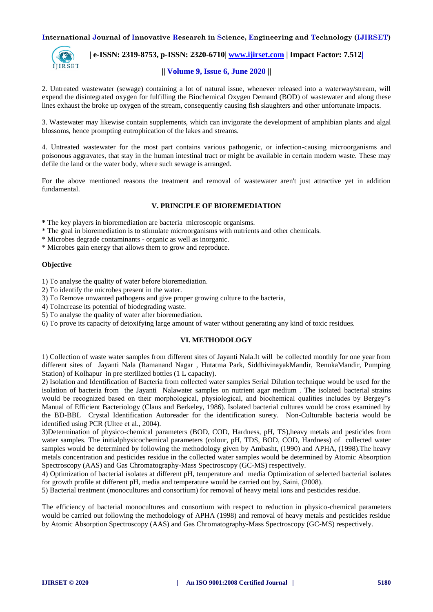

### **| e-ISSN: 2319-8753, p-ISSN: 2320-6710| [www.ijirset.com](http://www.ijirset.com/) | Impact Factor: 7.512|**

#### **|| Volume 9, Issue 6, June 2020 ||**

2. Untreated wastewater (sewage) containing a lot of natural issue, whenever released into a waterway/stream, will expend the disintegrated oxygen for fulfilling the Biochemical Oxygen Demand (BOD) of wastewater and along these lines exhaust the broke up oxygen of the stream, consequently causing fish slaughters and other unfortunate impacts.

3. Wastewater may likewise contain supplements, which can invigorate the development of amphibian plants and algal blossoms, hence prompting eutrophication of the lakes and streams.

4. Untreated wastewater for the most part contains various pathogenic, or infection-causing microorganisms and poisonous aggravates, that stay in the human intestinal tract or might be available in certain modern waste. These may defile the land or the water body, where such sewage is arranged.

For the above mentioned reasons the treatment and removal of wastewater aren't just attractive yet in addition fundamental.

#### **V. PRINCIPLE OF BIOREMEDIATION**

**\*** The key players in bioremediation are bacteria microscopic organisms.

- \* The goal in bioremediation is to stimulate microorganisms with nutrients and other chemicals.
- \* Microbes degrade contaminants organic as well as inorganic.
- \* Microbes gain energy that allows them to grow and reproduce.

#### **Objective**

1) To analyse the quality of water before bioremediation.

- 2) To identify the microbes present in the water.
- 3) To Remove unwanted pathogens and give proper growing culture to the bacteria,
- 4) ToIncrease its potential of biodegrading waste.
- 5) To analyse the quality of water after bioremediation.
- 6) To prove its capacity of detoxifying large amount of water without generating any kind of toxic residues.

#### **VI. METHODOLOGY**

1) Collection of waste water samples from different sites of Jayanti Nala.It will be collected monthly for one year from different sites of Jayanti Nala (Ramanand Nagar , Hutatma Park, SiddhivinayakMandir, RenukaMandir, Pumping Station) of Kolhapur in pre sterilized bottles (1 L capacity).

2) Isolation and Identification of Bacteria from collected water samples Serial Dilution technique would be used for the isolation of bacteria from the Jayanti Nalawater samples on nutrient agar medium . The isolated bacterial strains would be recognized based on their morphological, physiological, and biochemical qualities includes by Bergey"s Manual of Efficient Bacteriology (Claus and Berkeley, 1986). Isolated bacterial cultures would be cross examined by the BD-BBL Crystal Identification Autoreader for the identification surety. Non-Culturable bacteria would be identified using PCR (Ultee et al., 2004).

3)Determination of physico-chemical parameters (BOD, COD, Hardness, pH, TS),heavy metals and pesticides from water samples. The initialphysicochemical parameters (colour, pH, TDS, BOD, COD, Hardness) of collected water samples would be determined by following the methodology given by Ambasht, (1990) and APHA, (1998).The heavy metals concentration and pesticides residue in the collected water samples would be determined by Atomic Absorption Spectroscopy (AAS) and Gas Chromatography-Mass Spectroscopy (GC-MS) respectively.

4) Optimization of bacterial isolates at different pH, temperature and media Optimization of selected bacterial isolates for growth profile at different pH, media and temperature would be carried out by, Saini, (2008).

5) Bacterial treatment (monocultures and consortium) for removal of heavy metal ions and pesticides residue.

The efficiency of bacterial monocultures and consortium with respect to reduction in physico-chemical parameters would be carried out following the methodology of APHA (1998) and removal of heavy metals and pesticides residue by Atomic Absorption Spectroscopy (AAS) and Gas Chromatography-Mass Spectroscopy (GC-MS) respectively.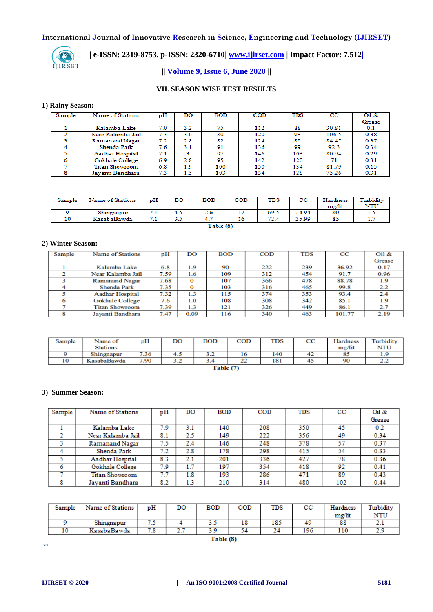

 **| e-ISSN: 2319-8753, p-ISSN: 2320-6710| [www.ijirset.com](http://www.ijirset.com/) | Impact Factor: 7.512|**

#### **|| Volume 9, Issue 6, June 2020 ||**

#### **VII. SEASON WISE TEST RESULTS**

#### **1) Rainy Season:**

| Sample | Name of Stations       | pH  | DO  | <b>BOD</b> | <b>COD</b> | TDS | $_{\rm cc}$ | Oil &  |
|--------|------------------------|-----|-----|------------|------------|-----|-------------|--------|
|        |                        |     |     |            |            |     |             | Grease |
|        | Kalamba Lake           | 7.0 | 3.2 | 75         | 112        | 88  | 30.81       | 0.1    |
|        | Near Kalamba Jail      | 7.3 | 3.0 | 80         | 120        | 93  | 106.5       | 0.38   |
|        | Ramanand Nagar         | 7.2 | 2.8 | 82         | 124        | 89  | 84.47       | 0.37   |
|        | Shenda Park            | 7.6 | 3.1 | 91         | 136        | 99  | 92.3        | 0.34   |
|        | Aadhar Hospital        | 7.1 |     | 97         | 146        | 103 | 80.94       | 0.29   |
|        | <b>Gokhale College</b> | 6.9 | 2.8 | 95         | 142        | 120 | 71          | 0.31   |
|        | Titan Showroom         | 6.8 | 1.9 | 100        | 150        | 134 | 81.79       | 0.15   |
|        | Javanti Bandhara       | 7.3 | 1.5 | 103        | 154        | 128 | 75.26       | 0.31   |

| Sample | Name of Stations | pH                       | DO  | BOD | $_{\rm COD}$ | TDS  | u     | Hardness | Turbidity |
|--------|------------------|--------------------------|-----|-----|--------------|------|-------|----------|-----------|
|        |                  |                          |     |     |              |      |       | mg/lit   | NTU       |
|        | Shingnapur       | $\overline{\phantom{a}}$ | ر . |     |              | 69.5 | 24.94 | 80       | .         |
|        | KasabaBawda      | . .                      | --- |     |              | --   | 35.99 |          | . .       |

Table (6)

#### **2) Winter Season:**

| Sample | <b>Name of Stations</b> | рH   | DO   | <b>BOD</b> | $\mathbf{COD}$ | <b>TDS</b> | $_{\rm CC}$ | Oil &  |
|--------|-------------------------|------|------|------------|----------------|------------|-------------|--------|
|        |                         |      |      |            |                |            |             | Grease |
|        | Kalamba Lake            | 6.8  | 1.9  | 90         | 222            | 239        | 36.92       | 0.17   |
|        | Near Kalamba Jail       | 7.59 | 1.6  | 109        | 312            | 454        | 91.7        | 0.96   |
|        | <b>Ramanand Nagar</b>   | 7.68 |      | 107        | 366            | 478        | 88.78       | 1.9    |
|        | Shenda Park             | 7.35 | 0    | 103        | 316            | 465        | 99.8        | 2.2    |
|        | <b>Aadhar Hospital</b>  | 7.32 | 1.3  | 115        | 374            | 353        | 93.4        | 2.4    |
|        | <b>Gokhale College</b>  | 7.6  | 1.0  | 108        | 308            | 342        | 85.1        | 1.9    |
|        | Titan Showroom          | 7.39 | 1.3  | 121        | 326            | 449        | 86.1        | 2.7    |
|        | Javanti Bandhara        | 7.47 | 0.09 | 116        | 340            | 463        | 101.77      | 2.19   |

| Sample    | Name of         | pН   | DO  | <b>BOD</b>      | $\mathbf{COD}$ | <b>TDS</b> | CС | <b>Hardness</b> | Turbidity    |
|-----------|-----------------|------|-----|-----------------|----------------|------------|----|-----------------|--------------|
|           | <b>Stations</b> |      |     |                 |                |            |    | mg/lit          | <b>NTU</b>   |
|           | Shingnapur      | 7.36 | . . | <u>тп</u><br>-- | 10             | 140        | 42 | 85              |              |
| 10        | KasabaBawda     | 7.90 | --  |                 | --             | 181        |    | 90              | . <u>. .</u> |
| Table (7) |                 |      |     |                 |                |            |    |                 |              |

#### **3) Summer Season:**

| <b>Sample</b> | Name of Stations  | pH  | DO  | <b>BOD</b> | <b>COD</b> | <b>TDS</b> | $_{\rm cc}$ | Oil &  |
|---------------|-------------------|-----|-----|------------|------------|------------|-------------|--------|
|               |                   |     |     |            |            |            |             | Grease |
|               | Kalamba Lake      | 7.9 | 3.1 | 140        | 208        | 350        | 45          | 0.2    |
|               | Near Kalamba Jail | 8.1 | 2.5 | 149        | 222        | 356        | 49          | 0.34   |
|               | Ramanand Nagar    | 7.5 | 2.4 | 146        | 248        | 378        | 57          | 0.37   |
|               | Shenda Park       |     | 2.8 | 178        | 298        | 415        | 54          | 0.33   |
|               | Aadhar Hospital   | 8.3 | 2.1 | 201        | 336        | 427        | 78          | 0.36   |
| 6             | Gokhale College   | 7.9 | 1.7 | 197        | 354        | 418        | 92          | 0.41   |
|               | Titan Showroom    | 7.7 | 1.8 | 193        | 286        | 471        | 89          | 0.43   |
|               | Javanti Bandhara  | 8.2 | 1.3 | 210        | 314        | 480        | 102         | 0.44   |

| Sample    | Name of Stations | рH  | DO       | <b>BOD</b> | COD | <b>TDS</b> | cc  | Hardness | Turbidity |
|-----------|------------------|-----|----------|------------|-----|------------|-----|----------|-----------|
|           |                  |     |          |            |     |            |     | mg/lit   | NTU       |
|           | Shingnapur       | .   |          | د.د        | 18  | 185        | 49  | 88       | .         |
| 10        | KasabaBawda      | 7.8 | <u>.</u> | 3.9        |     |            | 196 | 110      | ኃር        |
| Table (8) |                  |     |          |            |     |            |     |          |           |

 $\overline{\mathbf{z}}$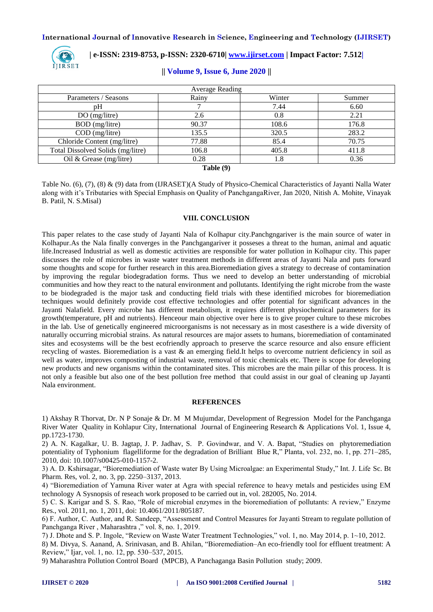

 **| e-ISSN: 2319-8753, p-ISSN: 2320-6710| [www.ijirset.com](http://www.ijirset.com/) | Impact Factor: 7.512|**

#### **|| Volume 9, Issue 6, June 2020 ||**

| <b>Average Reading</b>            |       |        |        |  |  |  |  |  |
|-----------------------------------|-------|--------|--------|--|--|--|--|--|
| Parameters / Seasons              | Rainy | Winter | Summer |  |  |  |  |  |
| pH                                |       | 7.44   | 6.60   |  |  |  |  |  |
| DO(mg/litre)                      | 2.6   | 0.8    | 2.21   |  |  |  |  |  |
| BOD (mg/litre)                    | 90.37 | 108.6  | 176.8  |  |  |  |  |  |
| $COD$ (mg/litre)                  | 135.5 | 320.5  | 283.2  |  |  |  |  |  |
| Chloride Content (mg/litre)       | 77.88 | 85.4   | 70.75  |  |  |  |  |  |
| Total Dissolved Solids (mg/litre) | 106.8 | 405.8  | 411.8  |  |  |  |  |  |
| Oil & Grease (mg/litre)           | 0.28  | 1.8    | 0.36   |  |  |  |  |  |

**Table (9)**

Table No. (6), (7), (8) & (9) data from (IJRASET)(A Study of Physico-Chemical Characteristics of Jayanti Nalla Water along with it's Tributaries with Special Emphasis on Quality of PanchgangaRiver, Jan 2020, Nitish A. Mohite, Vinayak B. Patil, N. S.Misal)

#### **VIII. CONCLUSION**

This paper relates to the case study of Jayanti Nala of Kolhapur city.Panchgngariver is the main source of water in Kolhapur.As the Nala finally converges in the Panchgangariver it posseses a threat to the human, animal and aquatic life.Increased Industrial as well as domestic activities are responsible for water pollution in Kolhapur city. This paper discusses the role of microbes in waste water treatment methods in different areas of Jayanti Nala and puts forward some thoughts and scope for further research in this area.Bioremediation gives a strategy to decrease of contamination by improving the regular biodegradation forms. Thus we need to develop an better understanding of microbial communities and how they react to the natural environment and pollutants. Identifying the right microbe from the waste to be biodegraded is the major task and conducting field trials with these identified microbes for bioremediation techniques would definitely provide cost effective technologies and offer potential for significant advances in the Jayanti Nalafield. Every microbe has different metabolism, it requires different physiochemical parameters for its growth(temperature, pH and nutrients). Henceour main objective over here is to give proper culture to these microbes in the lab. Use of genetically engineered microorganisms is not necessary as in most casesthere is a wide diversity of naturally occurring microbial strains. As natural resources are major assets to humans, bioremediation of contaminated sites and ecosystems will be the best ecofriendly approach to preserve the scarce resource and also ensure efficient recycling of wastes. Bioremediation is a vast & an emerging field.It helps to overcome nutrient deficiency in soil as well as water, improves composting of industrial waste, removal of toxic chemicals etc. There is scope for developing new products and new organisms within the contaminated sites. This microbes are the main pillar of this process. It is not only a feasible but also one of the best pollution free method that could assist in our goal of cleaning up Jayanti Nala environment.

#### **REFERENCES**

1) Akshay R Thorvat, Dr. N P Sonaje & Dr. M M Mujumdar, Development of Regression Model for the Panchganga River Water Quality in Kohlapur City, International Journal of Engineering Research & Applications Vol. 1, Issue 4, pp.1723-1730.

2) A. N. Kagalkar, U. B. Jagtap, J. P. Jadhav, S. P. Govindwar, and V. A. Bapat, "Studies on phytoremediation potentiality of Typhonium flagelliforme for the degradation of Brilliant Blue R," Planta, vol. 232, no. 1, pp. 271–285, 2010, doi: 10.1007/s00425-010-1157-2.

3) A. D. Kshirsagar, "Bioremediation of Waste water By Using Microalgae: an Experimental Study," Int. J. Life Sc. Bt Pharm. Res, vol. 2, no. 3, pp. 2250–3137, 2013.

4) "Bioremediation of Yamuna River water at Agra with special reference to heavy metals and pesticides using EM technology A Sysnopsis of reseach work proposed to be carried out in, vol. 282005, No. 2014.

5) C. S. Karigar and S. S. Rao, "Role of microbial enzymes in the bioremediation of pollutants: A review," Enzyme Res., vol. 2011, no. 1, 2011, doi: 10.4061/2011/805187.

6) F. Author, C. Author, and R. Sandeep, "Assessment and Control Measures for Jayanti Stream to regulate pollution of Panchganga River, Maharashtra," vol. 8, no. 1, 2019.

7) J. Dhote and S. P. Ingole, "Review on Waste Water Treatment Technologies," vol. 1, no. May 2014, p. 1~10, 2012.

8) M. Divya, S. Aanand, A. Srinivasan, and B. Ahilan, "Bioremediation–An eco-friendly tool for effluent treatment: A Review," Ijar, vol. 1, no. 12, pp. 530–537, 2015.

9) Maharashtra Pollution Control Board (MPCB), A Panchaganga Basin Pollution study; 2009.